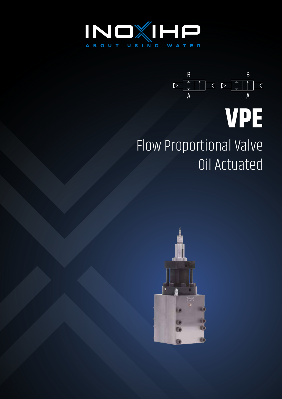



## Flow Proportional Valve Oil Actuated